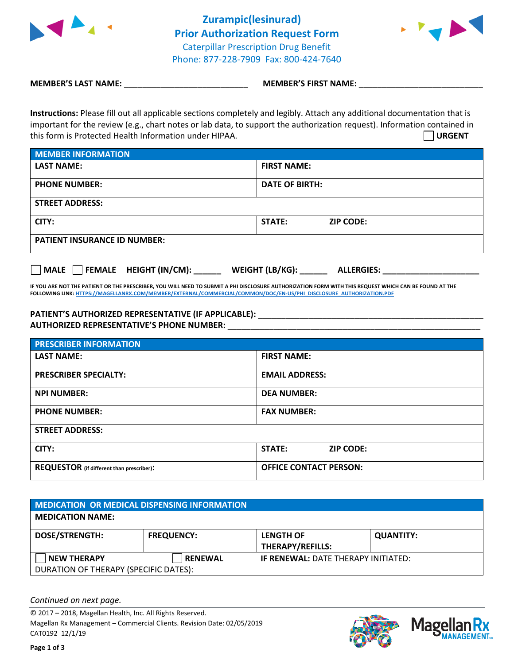

 **Zurampic(lesinurad) () Prior Authorization Request Form** Caterpillar Prescription Drug Benefit Phone: 877-228-7909 Fax: 800-424-7640



**MEMBER'S LAST NAME:**  $\blacksquare$  **MEMBER'S FIRST NAME:** 

**Instructions:** Please fill out all applicable sections completely and legibly. Attach any additional documentation that is important for the review (e.g., chart notes or lab data, to support the authorization request). Information contained in this form is Protected Health Information under HIPAA. **URGENT**

| <b>MEMBER INFORMATION</b>           |                            |  |  |  |
|-------------------------------------|----------------------------|--|--|--|
| <b>LAST NAME:</b>                   | <b>FIRST NAME:</b>         |  |  |  |
| <b>PHONE NUMBER:</b>                | <b>DATE OF BIRTH:</b>      |  |  |  |
| <b>STREET ADDRESS:</b>              |                            |  |  |  |
| CITY:                               | STATE:<br><b>ZIP CODE:</b> |  |  |  |
| <b>PATIENT INSURANCE ID NUMBER:</b> |                            |  |  |  |

**MALE FEMALE HEIGHT (IN/CM): \_\_\_\_\_\_ WEIGHT (LB/KG): \_\_\_\_\_\_ ALLERGIES: \_\_\_\_\_\_\_\_\_\_\_\_\_\_\_\_\_\_\_\_\_**

**IF YOU ARE NOT THE PATIENT OR THE PRESCRIBER, YOU WILL NEED TO SUBMIT A PHI DISCLOSURE AUTHORIZATION FORM WITH THIS REQUEST WHICH CAN BE FOUND AT THE FOLLOWING LINK[: HTTPS://MAGELLANRX.COM/MEMBER/EXTERNAL/COMMERCIAL/COMMON/DOC/EN-US/PHI\\_DISCLOSURE\\_AUTHORIZATION.PDF](https://magellanrx.com/member/external/commercial/common/doc/en-us/PHI_Disclosure_Authorization.pdf)**

## **PATIENT'S AUTHORIZED REPRESENTATIVE (IF APPLICABLE):** \_\_\_\_\_\_\_\_\_\_\_\_\_\_\_\_\_\_\_\_\_\_\_\_\_\_\_\_\_\_\_\_\_\_\_\_\_\_\_\_\_\_\_\_\_\_\_\_\_ **AUTHORIZED REPRESENTATIVE'S PHONE NUMBER:** \_\_\_\_\_\_\_\_\_\_\_\_\_\_\_\_\_\_\_\_\_\_\_\_\_\_\_\_\_\_\_\_\_\_\_\_\_\_\_\_\_\_\_\_\_\_\_\_\_\_\_\_\_\_\_

| <b>PRESCRIBER INFORMATION</b>             |                                   |  |
|-------------------------------------------|-----------------------------------|--|
| <b>LAST NAME:</b>                         | <b>FIRST NAME:</b>                |  |
| <b>PRESCRIBER SPECIALTY:</b>              | <b>EMAIL ADDRESS:</b>             |  |
| <b>NPI NUMBER:</b>                        | <b>DEA NUMBER:</b>                |  |
| <b>PHONE NUMBER:</b>                      | <b>FAX NUMBER:</b>                |  |
| <b>STREET ADDRESS:</b>                    |                                   |  |
| CITY:                                     | <b>STATE:</b><br><b>ZIP CODE:</b> |  |
| REQUESTOR (if different than prescriber): | <b>OFFICE CONTACT PERSON:</b>     |  |

| <b>MEDICATION OR MEDICAL DISPENSING INFORMATION</b> |                   |                                             |                  |  |  |
|-----------------------------------------------------|-------------------|---------------------------------------------|------------------|--|--|
| <b>MEDICATION NAME:</b>                             |                   |                                             |                  |  |  |
| <b>DOSE/STRENGTH:</b>                               | <b>FREQUENCY:</b> | <b>LENGTH OF</b><br><b>THERAPY/REFILLS:</b> | <b>QUANTITY:</b> |  |  |
| <b>NEW THERAPY</b>                                  | <b>RENEWAL</b>    | <b>IF RENEWAL: DATE THERAPY INITIATED:</b>  |                  |  |  |
| DURATION OF THERAPY (SPECIFIC DATES):               |                   |                                             |                  |  |  |

*Continued on next page.*

© 2017 – 2018, Magellan Health, Inc. All Rights Reserved. Magellan Rx Management – Commercial Clients. Revision Date: 02/05/2019 CAT0192 12/1/19



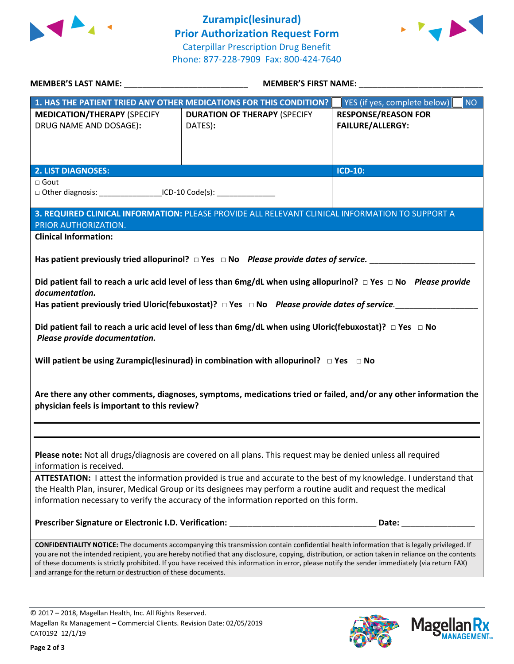



|                                                                                                                                                                                                                                                                                                    | 1. HAS THE PATIENT TRIED ANY OTHER MEDICATIONS FOR THIS CONDITION?                                                          | YES (if yes, complete below)<br>NO |  |  |
|----------------------------------------------------------------------------------------------------------------------------------------------------------------------------------------------------------------------------------------------------------------------------------------------------|-----------------------------------------------------------------------------------------------------------------------------|------------------------------------|--|--|
| <b>MEDICATION/THERAPY (SPECIFY</b>                                                                                                                                                                                                                                                                 | <b>DURATION OF THERAPY (SPECIFY</b>                                                                                         | <b>RESPONSE/REASON FOR</b>         |  |  |
| DRUG NAME AND DOSAGE):                                                                                                                                                                                                                                                                             | DATES):                                                                                                                     | FAILURE/ALLERGY:                   |  |  |
|                                                                                                                                                                                                                                                                                                    |                                                                                                                             |                                    |  |  |
|                                                                                                                                                                                                                                                                                                    |                                                                                                                             |                                    |  |  |
|                                                                                                                                                                                                                                                                                                    |                                                                                                                             |                                    |  |  |
| <b>2. LIST DIAGNOSES:</b>                                                                                                                                                                                                                                                                          |                                                                                                                             | <b>ICD-10:</b>                     |  |  |
| $\Box$ Gout                                                                                                                                                                                                                                                                                        |                                                                                                                             |                                    |  |  |
| □ Other diagnosis: ________________________ICD-10 Code(s): ____________________                                                                                                                                                                                                                    |                                                                                                                             |                                    |  |  |
|                                                                                                                                                                                                                                                                                                    | 3. REQUIRED CLINICAL INFORMATION: PLEASE PROVIDE ALL RELEVANT CLINICAL INFORMATION TO SUPPORT A                             |                                    |  |  |
| PRIOR AUTHORIZATION.                                                                                                                                                                                                                                                                               |                                                                                                                             |                                    |  |  |
| <b>Clinical Information:</b>                                                                                                                                                                                                                                                                       |                                                                                                                             |                                    |  |  |
|                                                                                                                                                                                                                                                                                                    |                                                                                                                             |                                    |  |  |
|                                                                                                                                                                                                                                                                                                    | Has patient previously tried allopurinol? $\Box$ Yes $\Box$ No Please provide dates of service.                             |                                    |  |  |
|                                                                                                                                                                                                                                                                                                    |                                                                                                                             |                                    |  |  |
|                                                                                                                                                                                                                                                                                                    | Did patient fail to reach a uric acid level of less than 6mg/dL when using allopurinol? $\Box$ Yes $\Box$ No Please provide |                                    |  |  |
| documentation.                                                                                                                                                                                                                                                                                     |                                                                                                                             |                                    |  |  |
|                                                                                                                                                                                                                                                                                                    | Has patient previously tried Uloric(febuxostat)? $\Box$ Yes $\Box$ No Please provide dates of service.                      |                                    |  |  |
|                                                                                                                                                                                                                                                                                                    |                                                                                                                             |                                    |  |  |
|                                                                                                                                                                                                                                                                                                    | Did patient fail to reach a uric acid level of less than 6mg/dL when using Uloric(febuxostat)? $\Box$ Yes $\Box$ No         |                                    |  |  |
| Please provide documentation.                                                                                                                                                                                                                                                                      |                                                                                                                             |                                    |  |  |
|                                                                                                                                                                                                                                                                                                    |                                                                                                                             |                                    |  |  |
|                                                                                                                                                                                                                                                                                                    | Will patient be using Zurampic(lesinurad) in combination with allopurinol? $\Box$ Yes $\Box$ No                             |                                    |  |  |
|                                                                                                                                                                                                                                                                                                    |                                                                                                                             |                                    |  |  |
|                                                                                                                                                                                                                                                                                                    |                                                                                                                             |                                    |  |  |
|                                                                                                                                                                                                                                                                                                    | Are there any other comments, diagnoses, symptoms, medications tried or failed, and/or any other information the            |                                    |  |  |
| physician feels is important to this review?                                                                                                                                                                                                                                                       |                                                                                                                             |                                    |  |  |
|                                                                                                                                                                                                                                                                                                    |                                                                                                                             |                                    |  |  |
|                                                                                                                                                                                                                                                                                                    |                                                                                                                             |                                    |  |  |
|                                                                                                                                                                                                                                                                                                    |                                                                                                                             |                                    |  |  |
| Please note: Not all drugs/diagnosis are covered on all plans. This request may be denied unless all required                                                                                                                                                                                      |                                                                                                                             |                                    |  |  |
| information is received.                                                                                                                                                                                                                                                                           |                                                                                                                             |                                    |  |  |
| ATTESTATION: I attest the information provided is true and accurate to the best of my knowledge. I understand that                                                                                                                                                                                 |                                                                                                                             |                                    |  |  |
| the Health Plan, insurer, Medical Group or its designees may perform a routine audit and request the medical                                                                                                                                                                                       |                                                                                                                             |                                    |  |  |
| information necessary to verify the accuracy of the information reported on this form.                                                                                                                                                                                                             |                                                                                                                             |                                    |  |  |
|                                                                                                                                                                                                                                                                                                    |                                                                                                                             |                                    |  |  |
|                                                                                                                                                                                                                                                                                                    |                                                                                                                             |                                    |  |  |
|                                                                                                                                                                                                                                                                                                    |                                                                                                                             |                                    |  |  |
| CONFIDENTIALITY NOTICE: The documents accompanying this transmission contain confidential health information that is legally privileged. If<br>you are not the intended recipient, you are hereby notified that any disclosure, copying, distribution, or action taken in reliance on the contents |                                                                                                                             |                                    |  |  |
| of these documents is strictly prohibited. If you have received this information in error, please notify the sender immediately (via return FAX)                                                                                                                                                   |                                                                                                                             |                                    |  |  |
| and arrange for the return or destruction of these documents.                                                                                                                                                                                                                                      |                                                                                                                             |                                    |  |  |